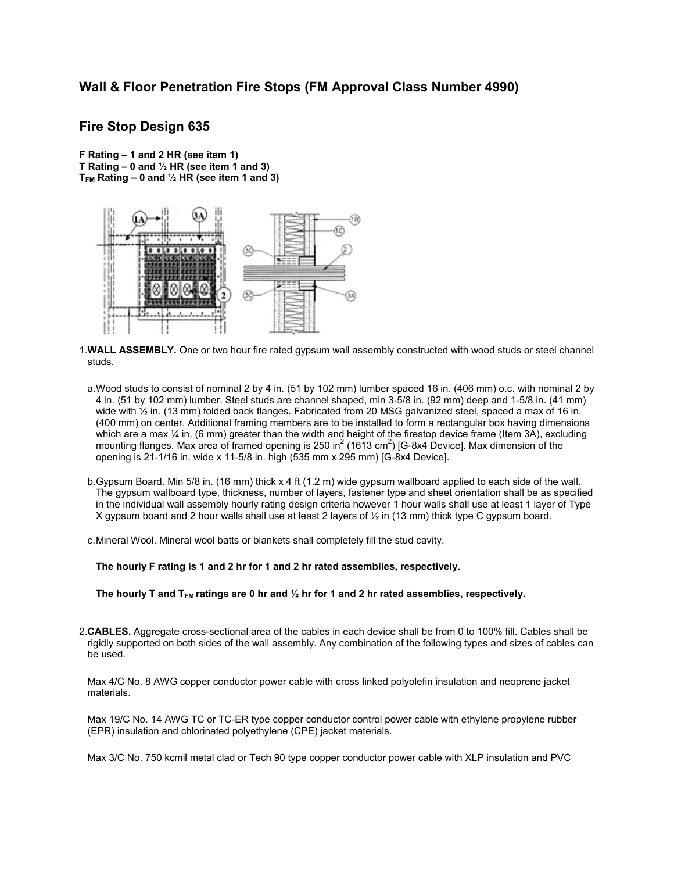# Wall & Floor Penetration Fire Stops (FM Approval Class Number 4990)

## Fire Stop Design 635

F Rating – 1 and 2 HR (see item 1) T Rating  $-0$  and  $\frac{1}{2}$  HR (see item 1 and 3)  $T_{FM}$  Rating – 0 and  $\frac{1}{2}$  HR (see item 1 and 3)



1.WALL ASSEMBLY. One or two hour fire rated gypsum wall assembly constructed with wood studs or steel channel studs.

- a.Wood studs to consist of nominal 2 by 4 in. (51 by 102 mm) lumber spaced 16 in. (406 mm) o.c. with nominal 2 by 4 in. (51 by 102 mm) lumber. Steel studs are channel shaped, min 3-5/8 in. (92 mm) deep and 1-5/8 in. (41 mm) wide with  $\frac{1}{2}$  in. (13 mm) folded back flanges. Fabricated from 20 MSG galvanized steel, spaced a max of 16 in. (400 mm) on center. Additional framing members are to be installed to form a rectangular box having dimensions which are a max  $\frac{1}{4}$  in. (6 mm) greater than the width and height of the firestop device frame (Item 3A), excluding mounting flanges. Max area of framed opening is 250 in<sup>2</sup> (1613 cm<sup>2</sup>) [G-8x4 Device]. Max dimension of the opening is 21-1/16 in. wide x 11-5/8 in. high (535 mm x 295 mm) [G-8x4 Device].
- b.Gypsum Board. Min 5/8 in. (16 mm) thick x 4 ft (1.2 m) wide gypsum wallboard applied to each side of the wall. The gypsum wallboard type, thickness, number of layers, fastener type and sheet orientation shall be as specified in the individual wall assembly hourly rating design criteria however 1 hour walls shall use at least 1 layer of Type X gypsum board and 2 hour walls shall use at least 2 layers of ½ in (13 mm) thick type C gypsum board.
- c.Mineral Wool. Mineral wool batts or blankets shall completely fill the stud cavity.

The hourly F rating is 1 and 2 hr for 1 and 2 hr rated assemblies, respectively.

The hourly T and T<sub>FM</sub> ratings are 0 hr and  $\frac{1}{2}$  hr for 1 and 2 hr rated assemblies, respectively.

2.CABLES. Aggregate cross-sectional area of the cables in each device shall be from 0 to 100% fill. Cables shall be rigidly supported on both sides of the wall assembly. Any combination of the following types and sizes of cables can be used.

Max 4/C No. 8 AWG copper conductor power cable with cross linked polyolefin insulation and neoprene jacket materials.

Max 19/C No. 14 AWG TC or TC-ER type copper conductor control power cable with ethylene propylene rubber (EPR) insulation and chlorinated polyethylene (CPE) jacket materials.

Max 3/C No. 750 kcmil metal clad or Tech 90 type copper conductor power cable with XLP insulation and PVC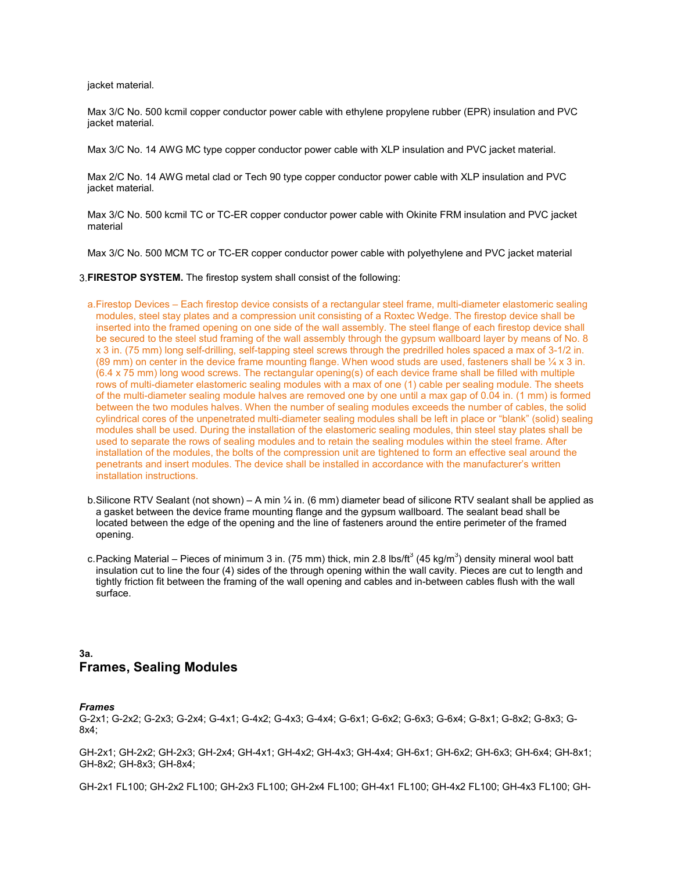jacket material.

Max 3/C No. 500 kcmil copper conductor power cable with ethylene propylene rubber (EPR) insulation and PVC jacket material.

Max 3/C No. 14 AWG MC type copper conductor power cable with XLP insulation and PVC jacket material.

Max 2/C No. 14 AWG metal clad or Tech 90 type copper conductor power cable with XLP insulation and PVC jacket material.

Max 3/C No. 500 kcmil TC or TC-ER copper conductor power cable with Okinite FRM insulation and PVC jacket material

Max 3/C No. 500 MCM TC or TC-ER copper conductor power cable with polyethylene and PVC jacket material

3.FIRESTOP SYSTEM. The firestop system shall consist of the following:

- a.Firestop Devices Each firestop device consists of a rectangular steel frame, multi-diameter elastomeric sealing modules, steel stay plates and a compression unit consisting of a Roxtec Wedge. The firestop device shall be inserted into the framed opening on one side of the wall assembly. The steel flange of each firestop device shall be secured to the steel stud framing of the wall assembly through the gypsum wallboard layer by means of No. 8 x 3 in. (75 mm) long self-drilling, self-tapping steel screws through the predrilled holes spaced a max of 3-1/2 in. (89 mm) on center in the device frame mounting flange. When wood studs are used, fasteners shall be  $\frac{1}{4}x$  3 in. (6.4 x 75 mm) long wood screws. The rectangular opening(s) of each device frame shall be filled with multiple rows of multi-diameter elastomeric sealing modules with a max of one (1) cable per sealing module. The sheets of the multi-diameter sealing module halves are removed one by one until a max gap of 0.04 in. (1 mm) is formed between the two modules halves. When the number of sealing modules exceeds the number of cables, the solid cylindrical cores of the unpenetrated multi-diameter sealing modules shall be left in place or "blank" (solid) sealing modules shall be used. During the installation of the elastomeric sealing modules, thin steel stay plates shall be used to separate the rows of sealing modules and to retain the sealing modules within the steel frame. After installation of the modules, the bolts of the compression unit are tightened to form an effective seal around the penetrants and insert modules. The device shall be installed in accordance with the manufacturer's written installation instructions.
- b. Silicone RTV Sealant (not shown) A min  $\frac{1}{4}$  in. (6 mm) diameter bead of silicone RTV sealant shall be applied as a gasket between the device frame mounting flange and the gypsum wallboard. The sealant bead shall be located between the edge of the opening and the line of fasteners around the entire perimeter of the framed opening.
- c.Packing Material Pieces of minimum 3 in. (75 mm) thick, min 2.8 lbs/ft $^3$  (45 kg/m $^3$ ) density mineral wool batt insulation cut to line the four (4) sides of the through opening within the wall cavity. Pieces are cut to length and tightly friction fit between the framing of the wall opening and cables and in-between cables flush with the wall surface.

### 3a. Frames, Sealing Modules

#### *Frames*

G-2x1; G-2x2; G-2x3; G-2x4; G-4x1; G-4x2; G-4x3; G-4x4; G-6x1; G-6x2; G-6x3; G-6x4; G-8x1; G-8x2; G-8x3; G-8x4;

GH-2x1; GH-2x2; GH-2x3; GH-2x4; GH-4x1; GH-4x2; GH-4x3; GH-4x4; GH-6x1; GH-6x2; GH-6x3; GH-6x4; GH-8x1; GH-8x2; GH-8x3; GH-8x4;

GH-2x1 FL100; GH-2x2 FL100; GH-2x3 FL100; GH-2x4 FL100; GH-4x1 FL100; GH-4x2 FL100; GH-4x3 FL100; GH-